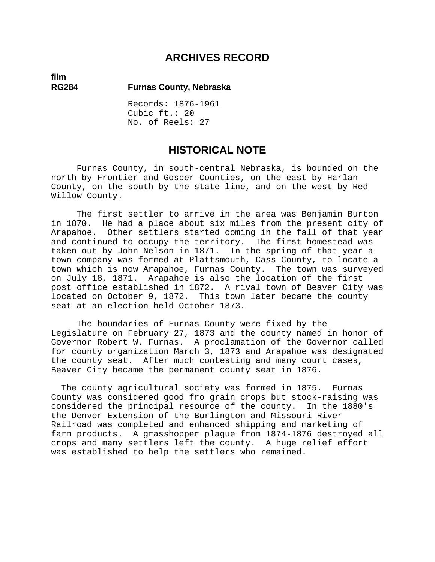## **ARCHIVES RECORD**

**film** 

### **RG284 Furnas County, Nebraska**

Records: 1876-1961 Cubic ft.: 20 No. of Reels: 27

## **HISTORICAL NOTE**

Furnas County, in south-central Nebraska, is bounded on the north by Frontier and Gosper Counties, on the east by Harlan County, on the south by the state line, and on the west by Red Willow County.

The first settler to arrive in the area was Benjamin Burton in 1870. He had a place about six miles from the present city of Arapahoe. Other settlers started coming in the fall of that year and continued to occupy the territory. The first homestead was taken out by John Nelson in 1871. In the spring of that year a town company was formed at Plattsmouth, Cass County, to locate a town which is now Arapahoe, Furnas County. The town was surveyed on July 18, 1871. Arapahoe is also the location of the first post office established in 1872. A rival town of Beaver City was located on October 9, 1872. This town later became the county seat at an election held October 1873.

The boundaries of Furnas County were fixed by the Legislature on February 27, 1873 and the county named in honor of Governor Robert W. Furnas. A proclamation of the Governor called for county organization March 3, 1873 and Arapahoe was designated the county seat. After much contesting and many court cases, Beaver City became the permanent county seat in 1876.

 The county agricultural society was formed in 1875. Furnas County was considered good fro grain crops but stock-raising was considered the principal resource of the county. In the 1880's the Denver Extension of the Burlington and Missouri River Railroad was completed and enhanced shipping and marketing of farm products. A grasshopper plague from 1874-1876 destroyed all crops and many settlers left the county. A huge relief effort was established to help the settlers who remained.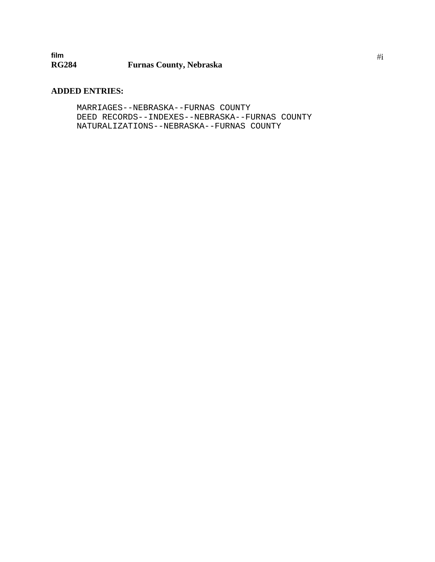### **ADDED ENTRIES:**

MARRIAGES--NEBRASKA--FURNAS COUNTY DEED RECORDS--INDEXES--NEBRASKA--FURNAS COUNTY NATURALIZATIONS--NEBRASKA--FURNAS COUNTY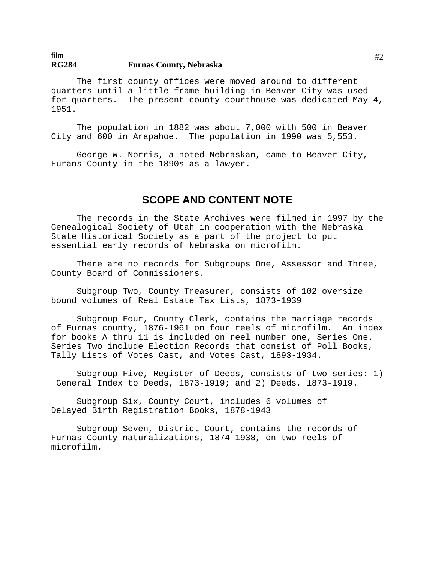The first county offices were moved around to different quarters until a little frame building in Beaver City was used for quarters. The present county courthouse was dedicated May 4, 1951.

The population in 1882 was about 7,000 with 500 in Beaver City and 600 in Arapahoe. The population in 1990 was 5,553.

George W. Norris, a noted Nebraskan, came to Beaver City, Furans County in the 1890s as a lawyer.

## **SCOPE AND CONTENT NOTE**

The records in the State Archives were filmed in 1997 by the Genealogical Society of Utah in cooperation with the Nebraska State Historical Society as a part of the project to put essential early records of Nebraska on microfilm.

There are no records for Subgroups One, Assessor and Three, County Board of Commissioners.

Subgroup Two, County Treasurer, consists of 102 oversize bound volumes of Real Estate Tax Lists, 1873-1939

Subgroup Four, County Clerk, contains the marriage records of Furnas county, 1876-1961 on four reels of microfilm. An index for books A thru 11 is included on reel number one, Series One. Series Two include Election Records that consist of Poll Books, Tally Lists of Votes Cast, and Votes Cast, 1893-1934.

Subgroup Five, Register of Deeds, consists of two series: 1) General Index to Deeds, 1873-1919; and 2) Deeds, 1873-1919.

Subgroup Six, County Court, includes 6 volumes of Delayed Birth Registration Books, 1878-1943

Subgroup Seven, District Court, contains the records of Furnas County naturalizations, 1874-1938, on two reels of microfilm.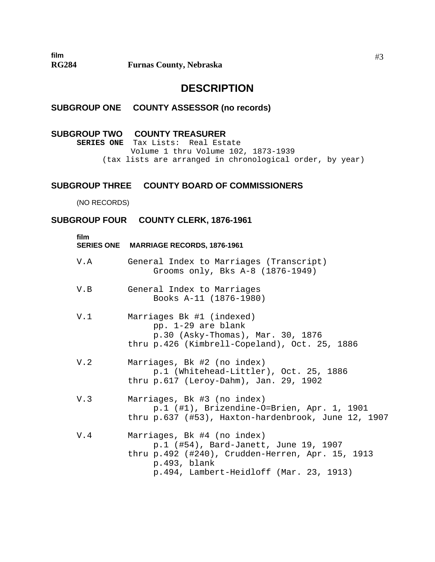## **DESCRIPTION**

### **SUBGROUP ONE COUNTY ASSESSOR (no records)**

### **SUBGROUP TWO COUNTY TREASURER**

**SERIES ONE** Tax Lists: Real Estate Volume 1 thru Volume 102, 1873-1939 (tax lists are arranged in chronological order, by year)

### **SUBGROUP THREE COUNTY BOARD OF COMMISSIONERS**

(NO RECORDS)

### **SUBGROUP FOUR COUNTY CLERK, 1876-1961**

| film | SERIES ONE MARRIAGE RECORDS, 1876-1961                                                                                                                                              |
|------|-------------------------------------------------------------------------------------------------------------------------------------------------------------------------------------|
| V.A  | General Index to Marriages (Transcript)<br>Grooms only, Bks A-8 (1876-1949)                                                                                                         |
| V.B  | General Index to Marriages<br>Books A-11 (1876-1980)                                                                                                                                |
| V.1  | Marriages Bk #1 (indexed)<br>pp. 1-29 are blank<br>p.30 (Asky-Thomas), Mar. 30, 1876<br>thru p.426 (Kimbrell-Copeland), Oct. 25, 1886                                               |
| V.2  | Marriages, Bk #2 (no index)<br>p.1 (Whitehead-Littler), Oct. 25, 1886<br>thru p.617 (Leroy-Dahm), Jan. 29, 1902                                                                     |
| V.3  | Marriages, Bk #3 (no index)<br>p.1 (#1), Brizendine-O=Brien, Apr. 1, 1901<br>thru p.637 (#53), Haxton-hardenbrook, June 12, 1907                                                    |
| V.4  | Marriages, Bk #4 (no index)<br>p.1 (#54), Bard-Janett, June 19, 1907<br>thru p.492 (#240), Crudden-Herren, Apr. 15, 1913<br>p.493, blank<br>p.494, Lambert-Heidloff (Mar. 23, 1913) |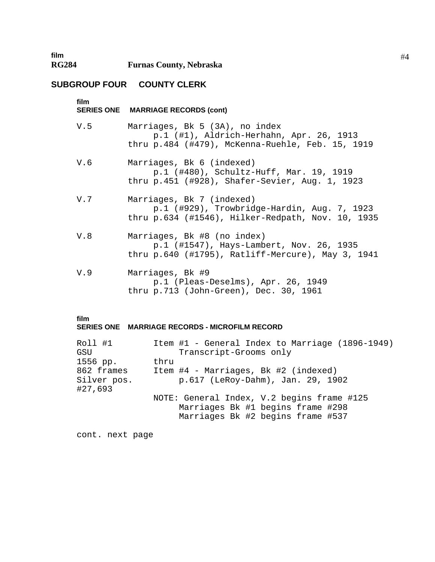## **SUBGROUP FOUR COUNTY CLERK**

| film | SERIES ONE MARRIAGE RECORDS (cont)                                                                                                |
|------|-----------------------------------------------------------------------------------------------------------------------------------|
| V.5  | Marriages, Bk 5 (3A), no index<br>p.1 (#1), Aldrich-Herhahn, Apr. 26, 1913<br>thru $p.484$ (#479), McKenna-Ruehle, Feb. 15, 1919  |
| V.6  | Marriages, Bk 6 (indexed)<br>p.1 (#480), Schultz-Huff, Mar. 19, 1919<br>thru p.451 (#928), Shafer-Sevier, Aug. 1, 1923            |
| V.7  | Marriages, Bk 7 (indexed)<br>$p.1$ (#929), Trowbridge-Hardin, Aug. 7, 1923<br>thru $p.634$ (#1546), Hilker-Redpath, Nov. 10, 1935 |
| V.8  | Marriages, Bk #8 (no index)<br>p.1 (#1547), Hays-Lambert, Nov. 26, 1935<br>thru $p.640$ (#1795), Ratliff-Mercure), May 3, 1941    |
| V.9  | Marriages, Bk #9<br>p.1 (Pleas-Deselms), Apr. 26, 1949<br>thru p.713 (John-Green), Dec. 30, 1961                                  |

### **film**

#### **SERIES ONE MARRIAGE RECORDS - MICROFILM RECORD**

| Roll #1<br>GSU         | Item #1 - General Index to Marriage (1896-1949)<br>Transcript-Grooms only |
|------------------------|---------------------------------------------------------------------------|
| 1556 pp.               | thru                                                                      |
| 862 frames             | Item #4 - Marriages, Bk #2 (indexed)                                      |
| Silver pos.<br>#27,693 | p.617 (LeRoy-Dahm), Jan. 29, 1902                                         |
|                        | NOTE: General Index, V.2 begins frame #125                                |
|                        | Marriages Bk #1 begins frame #298<br>Marriages Bk #2 begins frame #537    |

cont. next page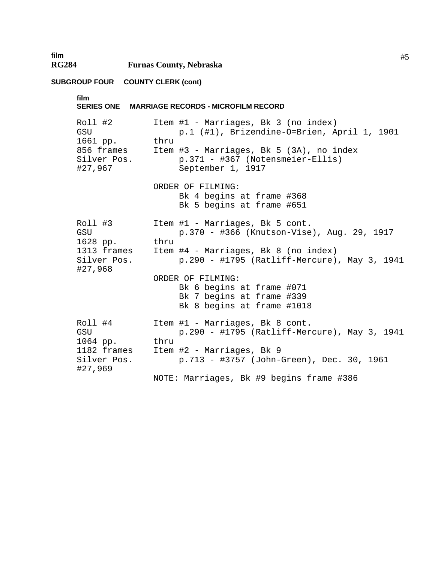#### **SUBGROUP FOUR COUNTY CLERK (cont)**

**film** 

**film SERIES ONE MARRIAGE RECORDS - MICROFILM RECORD**  Roll #2 Item #1 - Marriages, Bk 3 (no index) GSU p.1 (#1), Brizendine-O=Brien, April 1, 1901 1661 pp. thru 856 frames Item #3 - Marriages, Bk 5 (3A), no index Silver Pos. p.371 - #367 (Notensmeier-Ellis) #27,967 September 1, 1917 ORDER OF FILMING: Bk 4 begins at frame #368 Bk 5 begins at frame #651 Roll #3 Item #1 - Marriages, Bk 5 cont. GSU p.370 - #366 (Knutson-Vise), Aug. 29, 1917 1628 pp. thru 1313 frames Item #4 - Marriages, Bk 8 (no index) Silver Pos. p.290 - #1795 (Ratliff-Mercure), May 3, 1941 #27,968 ORDER OF FILMING: Bk 6 begins at frame #071 Bk 7 begins at frame #339 Bk 8 begins at frame #1018 Roll #4 Item #1 - Marriages, Bk 8 cont. GSU p.290 - #1795 (Ratliff-Mercure), May 3, 1941 1064 pp. thru 1182 frames Item #2 - Marriages, Bk 9 Silver Pos. p.713 - #3757 (John-Green), Dec. 30, 1961 #27,969 NOTE: Marriages, Bk #9 begins frame #386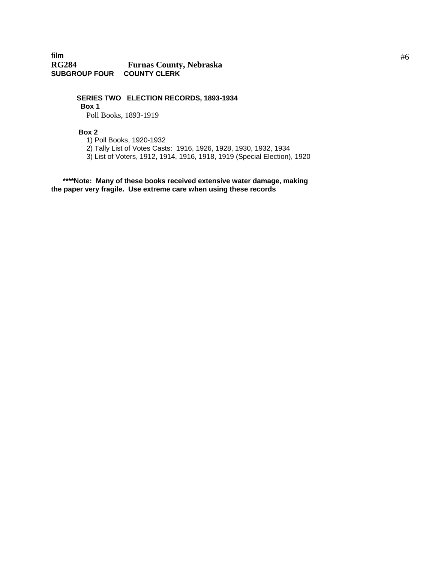### **film RG284 Furnas County, Nebraska SUBGROUP FOUR COUNTY CLERK**

**SERIES TWO ELECTION RECORDS, 1893-1934 Box 1** Poll Books, 1893-1919

 **Box 2** 

1) Poll Books, 1920-1932

2) Tally List of Votes Casts: 1916, 1926, 1928, 1930, 1932, 1934

3) List of Voters, 1912, 1914, 1916, 1918, 1919 (Special Election), 1920

 **\*\*\*\*Note: Many of these books received extensive water damage, making the paper very fragile. Use extreme care when using these records**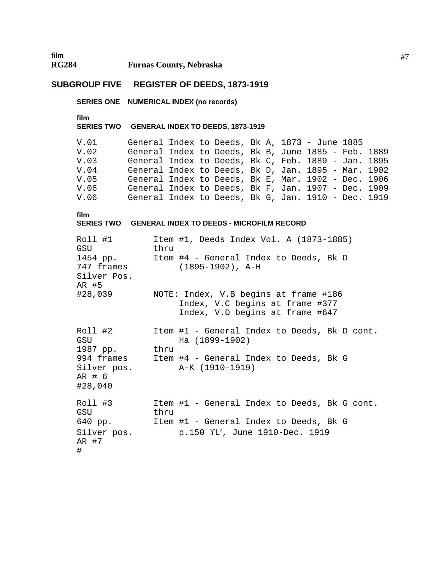### **SUBGROUP FIVE REGISTER OF DEEDS, 1873-1919**

**SERIES ONE NUMERICAL INDEX (no records)** 

**film** 

**SERIES TWO GENERAL INDEX TO DEEDS, 1873-1919** 

V.01 General Index to Deeds, Bk A, 1873 - June 1885 V.02 General Index to Deeds, Bk B, June 1885 - Feb. 1889 General Index to Deeds, Bk C, Feb. 1889 - Jan. 1895 V.04 General Index to Deeds, Bk D, Jan. 1895 - Mar. 1902 V.05 General Index to Deeds, Bk E, Mar. 1902 - Dec. 1906 General Index to Deeds, Bk F, Jan. 1907 - Dec. 1909 V.06 General Index to Deeds, Bk G, Jan. 1910 - Dec. 1919

```
film
```
#### **SERIES TWO GENERAL INDEX TO DEEDS - MICROFILM RECORD**

| Roll #1<br>GSU                                 | thru | Item #1, Deeds Index Vol. A (1873-1885)                                                                     |
|------------------------------------------------|------|-------------------------------------------------------------------------------------------------------------|
| 1454 pp.<br>747 frames<br>Silver Pos.<br>AR #5 |      | Item #4 - General Index to Deeds, Bk D<br>$(1895-1902)$ , A-H                                               |
| #28,039                                        |      | NOTE: Index, V.B begins at frame #186<br>Index, V.C begins at frame #377<br>Index, V.D begins at frame #647 |
| Roll #2<br>GSU<br>1987 pp.                     | thru | Item #1 - General Index to Deeds, Bk D cont.<br>Ha (1899-1902)                                              |
| Silver pos.<br>AR # 6<br>#28,040               |      | 994 frames Item #4 - General Index to Deeds, Bk G<br>A-K (1910-1919)                                        |
| Roll #3<br>GSU                                 | thru | Item #1 - General Index to Deeds, Bk G cont.                                                                |
| 640 pp.                                        |      | Item #1 - General Index to Deeds, Bk G                                                                      |
| Silver pos.<br>AR #7<br>#                      |      | p.150 YL', June 1910-Dec. 1919                                                                              |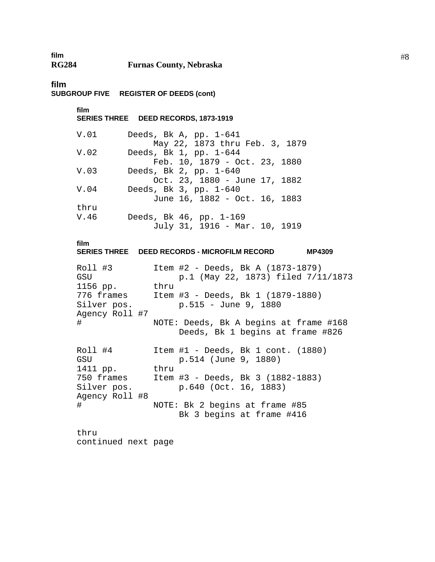| film         |                                |
|--------------|--------------------------------|
| <b>RG284</b> | <b>Furnas County, Nebraska</b> |

**film** 

**SUBGROUP FIVE REGISTER OF DEEDS (cont)** 

**film SERIES THREE DEED RECORDS, 1873-1919** 

| V.O1 | Deeds, Bk A, $pp. 1-641$       |
|------|--------------------------------|
|      | May 22, 1873 thru Feb. 3, 1879 |
| V.02 | Deeds, Bk 1, pp. 1-644         |
|      | Feb. 10, 1879 - Oct. 23, 1880  |
| V.03 | Deeds, Bk 2, pp. 1-640         |
|      | Oct. 23, 1880 - June 17, 1882  |
| V.04 | Deeds, Bk 3, pp. 1-640         |
|      | June 16, 1882 - Oct. 16, 1883  |
| thru |                                |
| V.46 | Deeds, Bk 46, pp. 1-169        |
|      | July 31, 1916 - Mar. 10, 1919  |

**film** 

**SERIES THREE DEED RECORDS - MICROFILM RECORD MP4309**  Roll #3 Item #2 - Deeds, Bk A (1873-1879) GSU p.1 (May 22, 1873) filed 7/11/1873 1156 pp. thru 776 frames Item #3 - Deeds, Bk 1 (1879-1880) Silver pos. p.515 - June 9, 1880 Agency Roll #7 # NOTE: Deeds, Bk A begins at frame #168 Deeds, Bk 1 begins at frame #826 Roll #4 Item #1 - Deeds, Bk 1 cont. (1880) GSU p.514 (June 9, 1880) 1411 pp. thru 750 frames Item #3 - Deeds, Bk 3 (1882-1883) Silver pos. p.640 (Oct. 16, 1883) Agency Roll #8 # NOTE: Bk 2 begins at frame #85 Bk 3 begins at frame #416 thru

continued next page

#8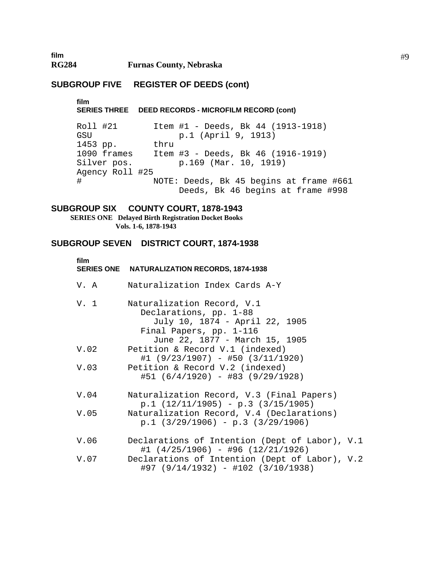### **SUBGROUP FIVE REGISTER OF DEEDS (cont)**

**film SERIES THREE DEED RECORDS - MICROFILM RECORD (cont)** 

Roll #21 Item #1 - Deeds, Bk 44 (1913-1918) GSU p.1 (April 9, 1913) 1453 pp. thru 1090 frames Item #3 - Deeds, Bk 46 (1916-1919) Silver pos. p.169 (Mar. 10, 1919) Agency Roll #25 # NOTE: Deeds, Bk 45 begins at frame #661 Deeds, Bk 46 begins at frame #998

#### **SUBGROUP SIX COUNTY COURT, 1878-1943**

 **SERIES ONE Delayed Birth Registration Docket Books Vols. 1-6, 1878-1943** 

### **SUBGROUP SEVEN DISTRICT COURT, 1874-1938**

| film | SERIES ONE NATURALIZATION RECORDS, 1874-1938                                                                                                        |
|------|-----------------------------------------------------------------------------------------------------------------------------------------------------|
| V.A  | Naturalization Index Cards A-Y                                                                                                                      |
| V. 1 | Naturalization Record, V.1<br>Declarations, pp. 1-88<br>July 10, 1874 - April 22, 1905<br>Final Papers, pp. 1-116<br>June 22, 1877 - March 15, 1905 |
| V.02 | Petition & Record V.1 (indexed)<br>$\#1$ (9/23/1907) - #50 (3/11/1920)                                                                              |
| V.03 | Petition & Record V.2 (indexed)<br>$#51 (6/4/1920) - #83 (9/29/1928)$                                                                               |
| V.04 | Naturalization Record, V.3 (Final Papers)<br>$p.1$ (12/11/1905) - p.3 (3/15/1905)                                                                   |
| V.05 | Naturalization Record, V.4 (Declarations)<br>$p.1$ (3/29/1906) - p.3 (3/29/1906)                                                                    |
| V.06 | Declarations of Intention (Dept of Labor), V.1<br>$\#1$ (4/25/1906) - #96 (12/21/1926)                                                              |
| V.07 | Declarations of Intention (Dept of Labor), V.2<br>#97 (9/14/1932) - #102 (3/10/1938)                                                                |